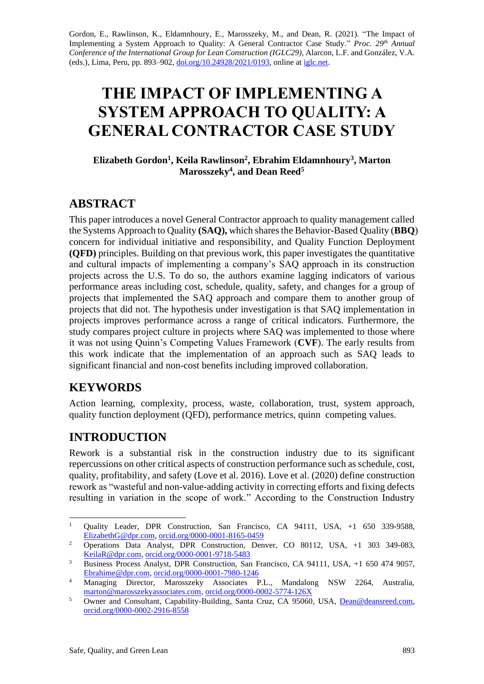Gordon, E., Rawlinson, K., Eldamnhoury, E., Marosszeky, M., and Dean, R. (2021). "The Impact of Implementing a System Approach to Quality: A General Contractor Case Study." Proc. 29<sup>th</sup> Annual *Conference of the International Group for Lean Construction (IGLC29),* Alarcon, L.F. and González, V.A. (eds.)*,* Lima, Peru, pp. 893–902, [doi.org/10.24928/2021/0193,](https://doi.org/10.24928/2021/0193) online a[t iglc.net.](http://iglc.net/)

# **THE IMPACT OF IMPLEMENTING A SYSTEM APPROACH TO QUALITY: A GENERAL CONTRACTOR CASE STUDY**

**Elizabeth Gordon<sup>1</sup> , Keila Rawlinson<sup>2</sup> , Ebrahim Eldamnhoury<sup>3</sup> , Marton Marosszeky<sup>4</sup> , and Dean Reed<sup>5</sup>**

# **ABSTRACT**

This paper introduces a novel General Contractor approach to quality management called the Systems Approach to Quality **(SAQ),** which shares the Behavior-Based Quality (**BBQ**) concern for individual initiative and responsibility, and Quality Function Deployment **(QFD)** principles. Building on that previous work, this paper investigates the quantitative and cultural impacts of implementing a company's SAQ approach in its construction projects across the U.S. To do so, the authors examine lagging indicators of various performance areas including cost, schedule, quality, safety, and changes for a group of projects that implemented the SAQ approach and compare them to another group of projects that did not. The hypothesis under investigation is that SAQ implementation in projects improves performance across a range of critical indicators. Furthermore, the study compares project culture in projects where SAQ was implemented to those where it was not using Quinn's Competing Values Framework (**CVF**). The early results from this work indicate that the implementation of an approach such as SAQ leads to significant financial and non-cost benefits including improved collaboration.

### **KEYWORDS**

Action learning, complexity, process, waste, collaboration, trust, system approach, quality function deployment (QFD), performance metrics, quinn competing values.

# **INTRODUCTION**

Rework is a substantial risk in the construction industry due to its significant repercussions on other critical aspects of construction performance such as schedule, cost, quality, profitability, and safety (Love et al. 2016). Love et al. (2020) define construction rework as "wasteful and non-value-adding activity in correcting efforts and fixing defects resulting in variation in the scope of work." According to the Construction Industry

<sup>&</sup>lt;sup>1</sup> Quality Leader, DPR Construction, San Francisco, CA 94111, USA, +1 650 339-9588, [ElizabethG@dpr.com,](mailto:ElizabethG@dpr.com) [orcid.org/0000-0001-8165-0459](https://orcid.org/0000-0001-8165-0459)

<sup>&</sup>lt;sup>2</sup> Operations Data Analyst, DPR Construction, Denver, CO 80112, USA, +1 303 349-083, [KeilaR@dpr.com,](mailto:KeilaR@dpr.com) [orcid.org/0000-0001-9718-5483](https://orcid.org/0000-0001-9718-5483)

<sup>&</sup>lt;sup>3</sup> Business Process Analyst, DPR Construction, San Francisco, CA 94111, USA, +1 650 474 9057, [Ebrahime@dpr.com,](mailto:Ebrahime@dpr.com) [orcid.org/0000-0001-7980-1246](https://orcid.org/0000-0001-7980-1246)

<sup>4</sup> Managing Director, Marosszeky Associates P.L., Mandalong NSW 2264, Australia, [marton@marosszekyassociates.com,](mailto:marton@marosszekyassociates.com) [orcid.org/0000-0002-5774-126X](https://orcid.org/0000-0002-5774-126X)

<sup>&</sup>lt;sup>5</sup> Owner and Consultant, Capability-Building, Santa Cruz, CA 95060, USA, [Dean@deansreed.com,](mailto:Dean@deansreed.com) [orcid.org/0000-0002-2916-8558](https://orcid.org/0000-0002-2916-8558)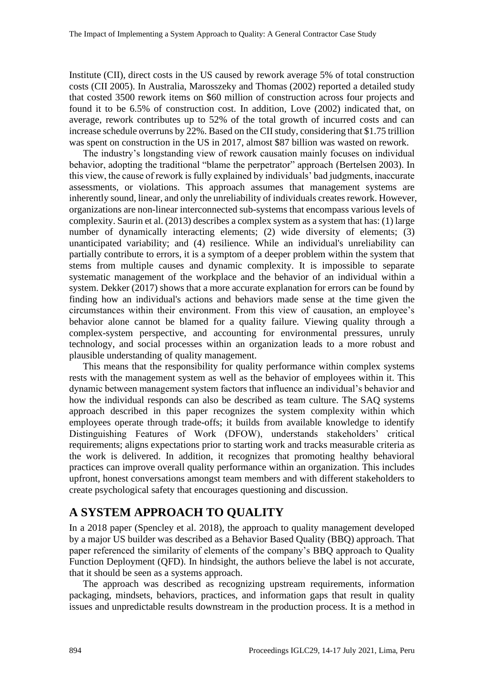Institute (CII), direct costs in the US caused by rework average 5% of total construction costs (CII 2005). In Australia, Marosszeky and Thomas (2002) reported a detailed study that costed 3500 rework items on \$60 million of construction across four projects and found it to be 6.5% of construction cost. In addition, Love (2002) indicated that, on average, rework contributes up to 52% of the total growth of incurred costs and can increase schedule overruns by 22%. Based on the CII study, considering that \$1.75 trillion was spent on construction in the US in 2017, almost \$87 billion was wasted on rework.

The industry's longstanding view of rework causation mainly focuses on individual behavior, adopting the traditional "blame the perpetrator" approach (Bertelsen 2003). In this view, the cause of rework is fully explained by individuals' bad judgments, inaccurate assessments, or violations. This approach assumes that management systems are inherently sound, linear, and only the unreliability of individuals creates rework. However, organizations are non-linear interconnected sub-systems that encompass various levels of complexity. Saurin et al. (2013) describes a complex system as a system that has: (1) large number of dynamically interacting elements; (2) wide diversity of elements; (3) unanticipated variability; and (4) resilience. While an individual's unreliability can partially contribute to errors, it is a symptom of a deeper problem within the system that stems from multiple causes and dynamic complexity. It is impossible to separate systematic management of the workplace and the behavior of an individual within a system. Dekker (2017) shows that a more accurate explanation for errors can be found by finding how an individual's actions and behaviors made sense at the time given the circumstances within their environment. From this view of causation, an employee's behavior alone cannot be blamed for a quality failure. Viewing quality through a complex-system perspective, and accounting for environmental pressures, unruly technology, and social processes within an organization leads to a more robust and plausible understanding of quality management.

This means that the responsibility for quality performance within complex systems rests with the management system as well as the behavior of employees within it. This dynamic between management system factors that influence an individual's behavior and how the individual responds can also be described as team culture. The SAQ systems approach described in this paper recognizes the system complexity within which employees operate through trade-offs; it builds from available knowledge to identify Distinguishing Features of Work (DFOW), understands stakeholders' critical requirements; aligns expectations prior to starting work and tracks measurable criteria as the work is delivered. In addition, it recognizes that promoting healthy behavioral practices can improve overall quality performance within an organization. This includes upfront, honest conversations amongst team members and with different stakeholders to create psychological safety that encourages questioning and discussion.

# **A SYSTEM APPROACH TO QUALITY**

In a 2018 paper (Spencley et al. 2018), the approach to quality management developed by a major US builder was described as a Behavior Based Quality (BBQ) approach. That paper referenced the similarity of elements of the company's BBQ approach to Quality Function Deployment (QFD). In hindsight, the authors believe the label is not accurate, that it should be seen as a systems approach.

The approach was described as recognizing upstream requirements, information packaging, mindsets, behaviors, practices, and information gaps that result in quality issues and unpredictable results downstream in the production process. It is a method in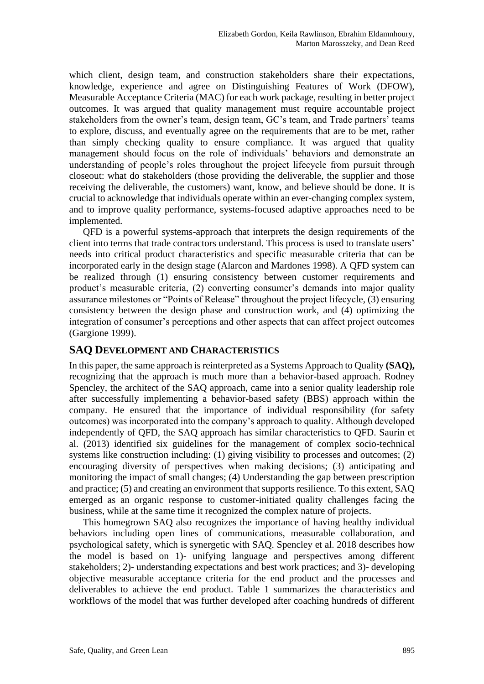which client, design team, and construction stakeholders share their expectations, knowledge, experience and agree on Distinguishing Features of Work (DFOW), Measurable Acceptance Criteria (MAC) for each work package, resulting in better project outcomes. It was argued that quality management must require accountable project stakeholders from the owner's team, design team, GC's team, and Trade partners' teams to explore, discuss, and eventually agree on the requirements that are to be met, rather than simply checking quality to ensure compliance. It was argued that quality management should focus on the role of individuals' behaviors and demonstrate an understanding of people's roles throughout the project lifecycle from pursuit through closeout: what do stakeholders (those providing the deliverable, the supplier and those receiving the deliverable, the customers) want, know, and believe should be done. It is crucial to acknowledge that individuals operate within an ever-changing complex system, and to improve quality performance, systems-focused adaptive approaches need to be implemented.

QFD is a powerful systems-approach that interprets the design requirements of the client into terms that trade contractors understand. This process is used to translate users' needs into critical product characteristics and specific measurable criteria that can be incorporated early in the design stage (Alarcon and Mardones 1998). A QFD system can be realized through (1) ensuring consistency between customer requirements and product's measurable criteria, (2) converting consumer's demands into major quality assurance milestones or "Points of Release" throughout the project lifecycle, (3) ensuring consistency between the design phase and construction work, and (4) optimizing the integration of consumer's perceptions and other aspects that can affect project outcomes (Gargione 1999).

### **SAQ DEVELOPMENT AND CHARACTERISTICS**

In this paper, the same approach is reinterpreted as a Systems Approach to Quality **(SAQ),**  recognizing that the approach is much more than a behavior-based approach. Rodney Spencley, the architect of the SAQ approach, came into a senior quality leadership role after successfully implementing a behavior-based safety (BBS) approach within the company. He ensured that the importance of individual responsibility (for safety outcomes) was incorporated into the company's approach to quality. Although developed independently of QFD, the SAQ approach has similar characteristics to QFD. Saurin et al. (2013) identified six guidelines for the management of complex socio-technical systems like construction including: (1) giving visibility to processes and outcomes; (2) encouraging diversity of perspectives when making decisions; (3) anticipating and monitoring the impact of small changes; (4) Understanding the gap between prescription and practice; (5) and creating an environment that supports resilience. To this extent, SAQ emerged as an organic response to customer-initiated quality challenges facing the business, while at the same time it recognized the complex nature of projects.

This homegrown SAQ also recognizes the importance of having healthy individual behaviors including open lines of communications, measurable collaboration, and psychological safety, which is synergetic with SAQ. Spencley et al. 2018 describes how the model is based on 1)- unifying language and perspectives among different stakeholders; 2)- understanding expectations and best work practices; and 3)- developing objective measurable acceptance criteria for the end product and the processes and deliverables to achieve the end product. Table 1 summarizes the characteristics and workflows of the model that was further developed after coaching hundreds of different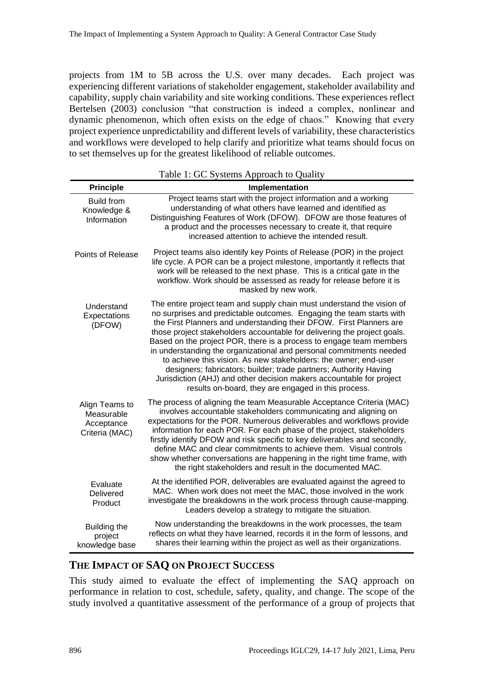projects from 1M to 5B across the U.S. over many decades. Each project was experiencing different variations of stakeholder engagement, stakeholder availability and capability, supply chain variability and site working conditions. These experiences reflect Bertelsen (2003) conclusion "that construction is indeed a complex, nonlinear and dynamic phenomenon, which often exists on the edge of chaos." Knowing that every project experience unpredictability and different levels of variability, these characteristics and workflows were developed to help clarify and prioritize what teams should focus on to set themselves up for the greatest likelihood of reliable outcomes.

|                                                              | radic 1. OC Systems Approach to Quality                                                                                                                                                                                                                                                                                                                                                                                                                                                                                                                                                                                                                                                                                 |
|--------------------------------------------------------------|-------------------------------------------------------------------------------------------------------------------------------------------------------------------------------------------------------------------------------------------------------------------------------------------------------------------------------------------------------------------------------------------------------------------------------------------------------------------------------------------------------------------------------------------------------------------------------------------------------------------------------------------------------------------------------------------------------------------------|
| <b>Principle</b>                                             | Implementation                                                                                                                                                                                                                                                                                                                                                                                                                                                                                                                                                                                                                                                                                                          |
| <b>Build from</b><br>Knowledge &<br>Information              | Project teams start with the project information and a working<br>understanding of what others have learned and identified as<br>Distinguishing Features of Work (DFOW). DFOW are those features of<br>a product and the processes necessary to create it, that require<br>increased attention to achieve the intended result.                                                                                                                                                                                                                                                                                                                                                                                          |
| Points of Release                                            | Project teams also identify key Points of Release (POR) in the project<br>life cycle. A POR can be a project milestone, importantly it reflects that<br>work will be released to the next phase. This is a critical gate in the<br>workflow. Work should be assessed as ready for release before it is<br>masked by new work.                                                                                                                                                                                                                                                                                                                                                                                           |
| Understand<br>Expectations<br>(DFOW)                         | The entire project team and supply chain must understand the vision of<br>no surprises and predictable outcomes. Engaging the team starts with<br>the First Planners and understanding their DFOW. First Planners are<br>those project stakeholders accountable for delivering the project goals.<br>Based on the project POR, there is a process to engage team members<br>in understanding the organizational and personal commitments needed<br>to achieve this vision. As new stakeholders: the owner; end-user<br>designers; fabricators; builder; trade partners; Authority Having<br>Jurisdiction (AHJ) and other decision makers accountable for project<br>results on-board, they are engaged in this process. |
| Align Teams to<br>Measurable<br>Acceptance<br>Criteria (MAC) | The process of aligning the team Measurable Acceptance Criteria (MAC)<br>involves accountable stakeholders communicating and aligning on<br>expectations for the POR. Numerous deliverables and workflows provide<br>information for each POR. For each phase of the project, stakeholders<br>firstly identify DFOW and risk specific to key deliverables and secondly,<br>define MAC and clear commitments to achieve them. Visual controls<br>show whether conversations are happening in the right time frame, with<br>the right stakeholders and result in the documented MAC.                                                                                                                                      |
| Evaluate<br>Delivered<br>Product                             | At the identified POR, deliverables are evaluated against the agreed to<br>MAC. When work does not meet the MAC, those involved in the work<br>investigate the breakdowns in the work process through cause-mapping.<br>Leaders develop a strategy to mitigate the situation.                                                                                                                                                                                                                                                                                                                                                                                                                                           |
| Building the<br>project<br>knowledge base                    | Now understanding the breakdowns in the work processes, the team<br>reflects on what they have learned, records it in the form of lessons, and<br>shares their learning within the project as well as their organizations.                                                                                                                                                                                                                                                                                                                                                                                                                                                                                              |

Table 1: GC Systems Approach to Quality

### **THE IMPACT OF SAQ ON PROJECT SUCCESS**

This study aimed to evaluate the effect of implementing the SAQ approach on performance in relation to cost, schedule, safety, quality, and change. The scope of the study involved a quantitative assessment of the performance of a group of projects that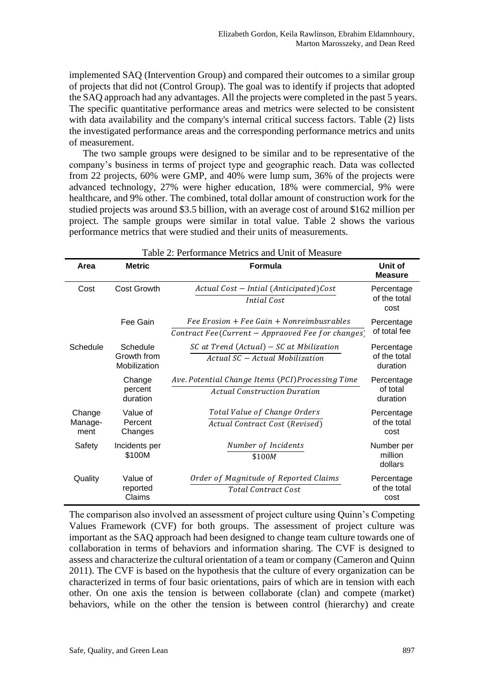implemented SAQ (Intervention Group) and compared their outcomes to a similar group of projects that did not (Control Group). The goal was to identify if projects that adopted the SAQ approach had any advantages. All the projects were completed in the past 5 years. The specific quantitative performance areas and metrics were selected to be consistent with data availability and the company's internal critical success factors. Table (2) lists the investigated performance areas and the corresponding performance metrics and units of measurement.

The two sample groups were designed to be similar and to be representative of the company's business in terms of project type and geographic reach. Data was collected from 22 projects, 60% were GMP, and 40% were lump sum, 36% of the projects were advanced technology, 27% were higher education, 18% were commercial, 9% were healthcare, and 9% other. The combined, total dollar amount of construction work for the studied projects was around \$3.5 billion, with an average cost of around \$162 million per project. The sample groups were similar in total value. Table 2 shows the various performance metrics that were studied and their units of measurements.

| Table 2: Performance Metrics and Unit of Measure |                                         |                                                                                                                               |                                        |  |  |  |
|--------------------------------------------------|-----------------------------------------|-------------------------------------------------------------------------------------------------------------------------------|----------------------------------------|--|--|--|
| Area                                             | <b>Metric</b>                           | <b>Formula</b>                                                                                                                | Unit of<br><b>Measure</b>              |  |  |  |
| Cost                                             | <b>Cost Growth</b>                      | Actual Cost - Intial (Anticipated)Cost<br>Intial Cost                                                                         | Percentage<br>of the total<br>cost     |  |  |  |
|                                                  | Fee Gain                                | $\textit{Fee Erosion} + \textit{Fee Gain} + \textit{Nonreimbusrables}$<br>Contract Fee(Current $-$ Appraoved Fee for changes) | Percentage<br>of total fee             |  |  |  |
| Schedule                                         | Schedule<br>Growth from<br>Mobilization | $SC$ at Trend (Actual) – $SC$ at Mbilization<br>Actual SC - Actual Mobilization                                               | Percentage<br>of the total<br>duration |  |  |  |
|                                                  | Change<br>percent<br>duration           | Ave. Potential Change Items (PCI)Processing Time<br><b>Actual Construction Duration</b>                                       | Percentage<br>of total<br>duration     |  |  |  |
| Change<br>Manage-<br>ment                        | Value of<br>Percent<br>Changes          | Total Value of Change Orders<br>Actual Contract Cost (Revised)                                                                | Percentage<br>of the total<br>cost     |  |  |  |
| Safety                                           | Incidents per<br>\$100M                 | Number of Incidents<br>\$100M                                                                                                 | Number per<br>million<br>dollars       |  |  |  |
| Quality                                          | Value of<br>reported<br>Claims          | Order of Magnitude of Reported Claims<br><b>Total Contract Cost</b>                                                           | Percentage<br>of the total<br>cost     |  |  |  |

The comparison also involved an assessment of project culture using Quinn's Competing Values Framework (CVF) for both groups. The assessment of project culture was important as the SAQ approach had been designed to change team culture towards one of collaboration in terms of behaviors and information sharing. The CVF is designed to assess and characterize the cultural orientation of a team or company (Cameron and Quinn 2011). The CVF is based on the hypothesis that the culture of every organization can be characterized in terms of four basic orientations, pairs of which are in tension with each other. On one axis the tension is between collaborate (clan) and compete (market) behaviors, while on the other the tension is between control (hierarchy) and create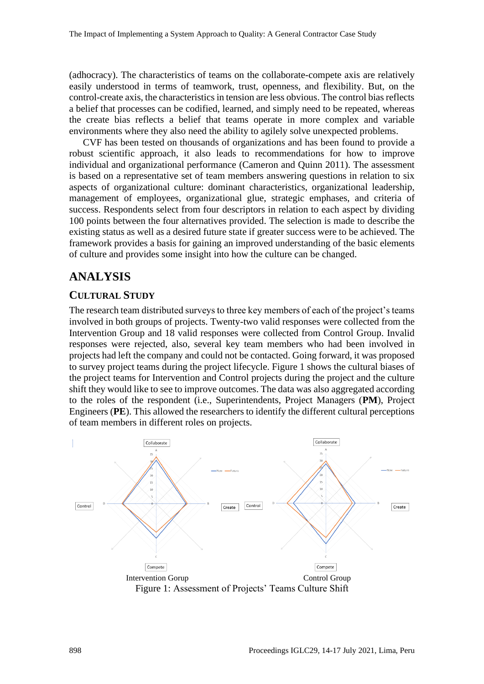(adhocracy). The characteristics of teams on the collaborate-compete axis are relatively easily understood in terms of teamwork, trust, openness, and flexibility. But, on the control-create axis, the characteristics in tension are less obvious. The control bias reflects a belief that processes can be codified, learned, and simply need to be repeated, whereas the create bias reflects a belief that teams operate in more complex and variable environments where they also need the ability to agilely solve unexpected problems.

CVF has been tested on thousands of organizations and has been found to provide a robust scientific approach, it also leads to recommendations for how to improve individual and organizational performance (Cameron and Quinn 2011). The assessment is based on a representative set of team members answering questions in relation to six aspects of organizational culture: dominant characteristics, organizational leadership, management of employees, organizational glue, strategic emphases, and criteria of success. Respondents select from four descriptors in relation to each aspect by dividing 100 points between the four alternatives provided. The selection is made to describe the existing status as well as a desired future state if greater success were to be achieved. The framework provides a basis for gaining an improved understanding of the basic elements of culture and provides some insight into how the culture can be changed.

### **ANALYSIS**

### **CULTURAL STUDY**

The research team distributed surveys to three key members of each of the project's teams involved in both groups of projects. Twenty-two valid responses were collected from the Intervention Group and 18 valid responses were collected from Control Group. Invalid responses were rejected, also, several key team members who had been involved in projects had left the company and could not be contacted. Going forward, it was proposed to survey project teams during the project lifecycle. Figure 1 shows the cultural biases of the project teams for Intervention and Control projects during the project and the culture shift they would like to see to improve outcomes. The data was also aggregated according to the roles of the respondent (i.e., Superintendents, Project Managers (**PM**), Project Engineers (**PE**). This allowed the researchers to identify the different cultural perceptions of team members in different roles on projects.

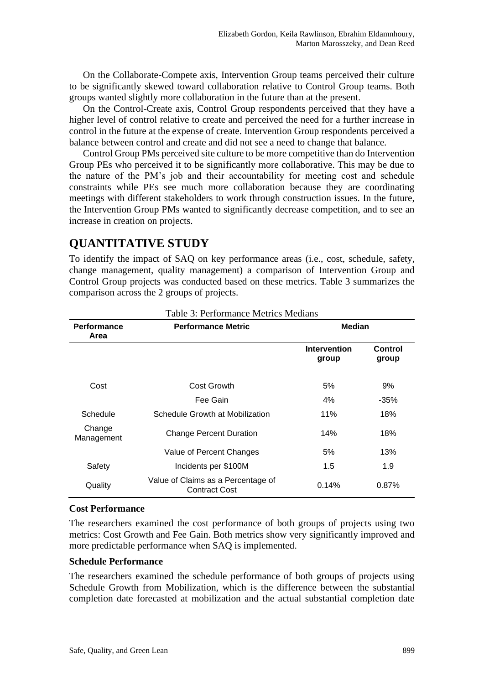On the Collaborate-Compete axis, Intervention Group teams perceived their culture to be significantly skewed toward collaboration relative to Control Group teams. Both groups wanted slightly more collaboration in the future than at the present.

On the Control-Create axis, Control Group respondents perceived that they have a higher level of control relative to create and perceived the need for a further increase in control in the future at the expense of create. Intervention Group respondents perceived a balance between control and create and did not see a need to change that balance.

Control Group PMs perceived site culture to be more competitive than do Intervention Group PEs who perceived it to be significantly more collaborative. This may be due to the nature of the PM's job and their accountability for meeting cost and schedule constraints while PEs see much more collaboration because they are coordinating meetings with different stakeholders to work through construction issues. In the future, the Intervention Group PMs wanted to significantly decrease competition, and to see an increase in creation on projects.

# **QUANTITATIVE STUDY**

To identify the impact of SAQ on key performance areas (i.e., cost, schedule, safety, change management, quality management) a comparison of Intervention Group and Control Group projects was conducted based on these metrics. Table 3 summarizes the comparison across the 2 groups of projects.

| <b>Performance</b><br>Area | raoig 9. I chomhance meanes meanans<br><b>Performance Metric</b> | <b>Median</b>         |                  |  |
|----------------------------|------------------------------------------------------------------|-----------------------|------------------|--|
|                            |                                                                  | Intervention<br>group | Control<br>group |  |
| Cost                       | Cost Growth                                                      | 5%                    | 9%               |  |
|                            | Fee Gain                                                         | 4%                    | -35%             |  |
| Schedule                   | Schedule Growth at Mobilization                                  | 11%                   | 18%              |  |
| Change<br>Management       | <b>Change Percent Duration</b>                                   | 14%                   | 18%              |  |
|                            | Value of Percent Changes                                         | 5%                    | 13%              |  |
| Safety                     | Incidents per \$100M                                             | 1.5                   | 1.9              |  |
| Quality                    | Value of Claims as a Percentage of<br><b>Contract Cost</b>       | 0.14%                 | 0.87%            |  |

### Table 3: Performance Metrics Medians

#### **Cost Performance**

The researchers examined the cost performance of both groups of projects using two metrics: Cost Growth and Fee Gain. Both metrics show very significantly improved and more predictable performance when SAQ is implemented.

#### **Schedule Performance**

The researchers examined the schedule performance of both groups of projects using Schedule Growth from Mobilization, which is the difference between the substantial completion date forecasted at mobilization and the actual substantial completion date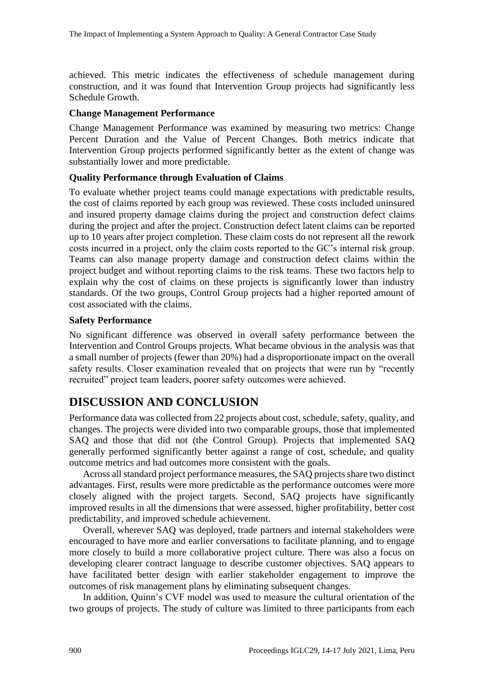achieved. This metric indicates the effectiveness of schedule management during construction, and it was found that Intervention Group projects had significantly less Schedule Growth.

#### **Change Management Performance**

Change Management Performance was examined by measuring two metrics: Change Percent Duration and the Value of Percent Changes. Both metrics indicate that Intervention Group projects performed significantly better as the extent of change was substantially lower and more predictable.

#### **Quality Performance through Evaluation of Claims**

To evaluate whether project teams could manage expectations with predictable results, the cost of claims reported by each group was reviewed. These costs included uninsured and insured property damage claims during the project and construction defect claims during the project and after the project. Construction defect latent claims can be reported up to 10 years after project completion. These claim costs do not represent all the rework costs incurred in a project, only the claim costs reported to the GC's internal risk group. Teams can also manage property damage and construction defect claims within the project budget and without reporting claims to the risk teams. These two factors help to explain why the cost of claims on these projects is significantly lower than industry standards. Of the two groups, Control Group projects had a higher reported amount of cost associated with the claims.

#### **Safety Performance**

No significant difference was observed in overall safety performance between the Intervention and Control Groups projects. What became obvious in the analysis was that a small number of projects (fewer than 20%) had a disproportionate impact on the overall safety results. Closer examination revealed that on projects that were run by "recently recruited" project team leaders, poorer safety outcomes were achieved.

### **DISCUSSION AND CONCLUSION**

Performance data was collected from 22 projects about cost, schedule, safety, quality, and changes. The projects were divided into two comparable groups, those that implemented SAQ and those that did not (the Control Group). Projects that implemented SAQ generally performed significantly better against a range of cost, schedule, and quality outcome metrics and had outcomes more consistent with the goals.

Across all standard project performance measures, the SAQ projects share two distinct advantages. First, results were more predictable as the performance outcomes were more closely aligned with the project targets. Second, SAQ projects have significantly improved results in all the dimensions that were assessed, higher profitability, better cost predictability, and improved schedule achievement.

Overall, wherever SAQ was deployed, trade partners and internal stakeholders were encouraged to have more and earlier conversations to facilitate planning, and to engage more closely to build a more collaborative project culture. There was also a focus on developing clearer contract language to describe customer objectives. SAQ appears to have facilitated better design with earlier stakeholder engagement to improve the outcomes of risk management plans by eliminating subsequent changes.

In addition, Quinn's CVF model was used to measure the cultural orientation of the two groups of projects. The study of culture was limited to three participants from each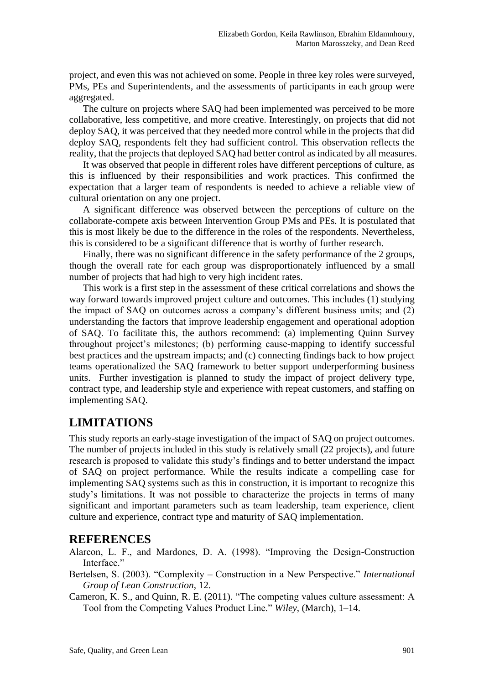project, and even this was not achieved on some. People in three key roles were surveyed, PMs, PEs and Superintendents, and the assessments of participants in each group were aggregated.

The culture on projects where SAQ had been implemented was perceived to be more collaborative, less competitive, and more creative. Interestingly, on projects that did not deploy SAQ, it was perceived that they needed more control while in the projects that did deploy SAQ, respondents felt they had sufficient control. This observation reflects the reality, that the projects that deployed SAQ had better control as indicated by all measures.

It was observed that people in different roles have different perceptions of culture, as this is influenced by their responsibilities and work practices. This confirmed the expectation that a larger team of respondents is needed to achieve a reliable view of cultural orientation on any one project.

A significant difference was observed between the perceptions of culture on the collaborate-compete axis between Intervention Group PMs and PEs. It is postulated that this is most likely be due to the difference in the roles of the respondents. Nevertheless, this is considered to be a significant difference that is worthy of further research.

Finally, there was no significant difference in the safety performance of the 2 groups, though the overall rate for each group was disproportionately influenced by a small number of projects that had high to very high incident rates.

This work is a first step in the assessment of these critical correlations and shows the way forward towards improved project culture and outcomes. This includes (1) studying the impact of SAQ on outcomes across a company's different business units; and (2) understanding the factors that improve leadership engagement and operational adoption of SAQ. To facilitate this, the authors recommend: (a) implementing Quinn Survey throughout project's milestones; (b) performing cause-mapping to identify successful best practices and the upstream impacts; and (c) connecting findings back to how project teams operationalized the SAQ framework to better support underperforming business units. Further investigation is planned to study the impact of project delivery type, contract type, and leadership style and experience with repeat customers, and staffing on implementing SAQ.

# **LIMITATIONS**

This study reports an early-stage investigation of the impact of SAQ on project outcomes. The number of projects included in this study is relatively small (22 projects), and future research is proposed to validate this study's findings and to better understand the impact of SAQ on project performance. While the results indicate a compelling case for implementing SAQ systems such as this in construction, it is important to recognize this study's limitations. It was not possible to characterize the projects in terms of many significant and important parameters such as team leadership, team experience, client culture and experience, contract type and maturity of SAQ implementation.

### **REFERENCES**

- Alarcon, L. F., and Mardones, D. A. (1998). "Improving the Design-Construction Interface."
- Bertelsen, S. (2003). "Complexity Construction in a New Perspective." *International Group of Lean Construction*, 12.
- Cameron, K. S., and Quinn, R. E. (2011). "The competing values culture assessment: A Tool from the Competing Values Product Line." *Wiley*, (March), 1–14.